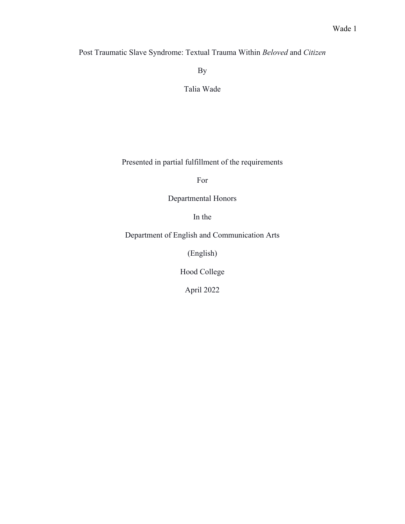Post Traumatic Slave Syndrome: Textual Trauma Within *Beloved* and *Citizen*

By

Talia Wade

Presented in partial fulfillment of the requirements

For

# Departmental Honors

In the

Department of English and Communication Arts

(English)

Hood College

April 2022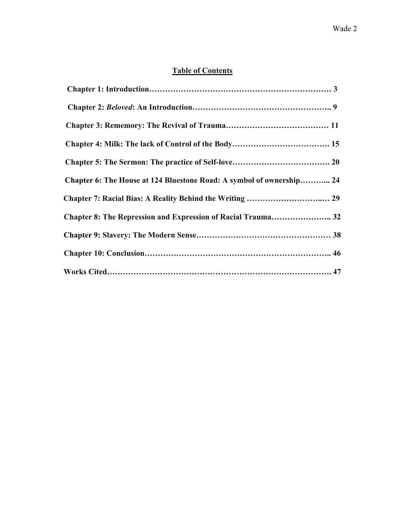# **Table of Contents**

| Chapter 6: The House at 124 Bluestone Road: A symbol of ownership 24 |  |
|----------------------------------------------------------------------|--|
|                                                                      |  |
| Chapter 8: The Repression and Expression of Racial Trauma 32         |  |
|                                                                      |  |
|                                                                      |  |
|                                                                      |  |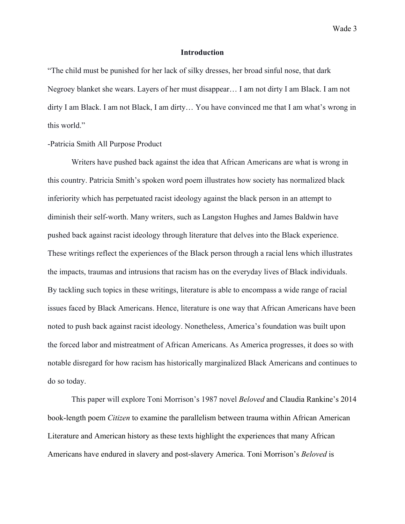# **Introduction**

"The child must be punished for her lack of silky dresses, her broad sinful nose, that dark Negroey blanket she wears. Layers of her must disappear… I am not dirty I am Black. I am not dirty I am Black. I am not Black, I am dirty… You have convinced me that I am what's wrong in this world."

# -Patricia Smith All Purpose Product

Writers have pushed back against the idea that African Americans are what is wrong in this country. Patricia Smith's spoken word poem illustrates how society has normalized black inferiority which has perpetuated racist ideology against the black person in an attempt to diminish their self-worth. Many writers, such as Langston Hughes and James Baldwin have pushed back against racist ideology through literature that delves into the Black experience. These writings reflect the experiences of the Black person through a racial lens which illustrates the impacts, traumas and intrusions that racism has on the everyday lives of Black individuals. By tackling such topics in these writings, literature is able to encompass a wide range of racial issues faced by Black Americans. Hence, literature is one way that African Americans have been noted to push back against racist ideology. Nonetheless, America's foundation was built upon the forced labor and mistreatment of African Americans. As America progresses, it does so with notable disregard for how racism has historically marginalized Black Americans and continues to do so today.

This paper will explore Toni Morrison's 1987 novel *Beloved* and Claudia Rankine's 2014 book-length poem *Citizen* to examine the parallelism between trauma within African American Literature and American history as these texts highlight the experiences that many African Americans have endured in slavery and post-slavery America. Toni Morrison's *Beloved* is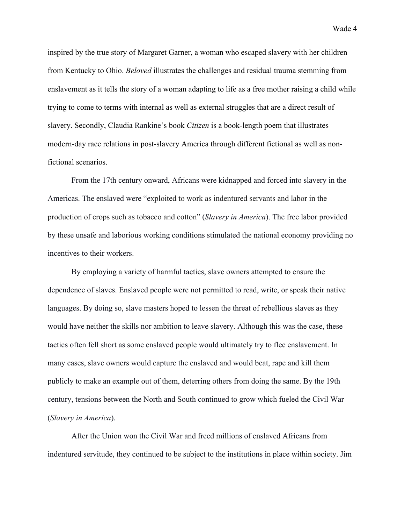inspired by the true story of Margaret Garner, a woman who escaped slavery with her children from Kentucky to Ohio. *Beloved* illustrates the challenges and residual trauma stemming from enslavement as it tells the story of a woman adapting to life as a free mother raising a child while trying to come to terms with internal as well as external struggles that are a direct result of slavery. Secondly, Claudia Rankine's book *Citizen* is a book-length poem that illustrates modern-day race relations in post-slavery America through different fictional as well as nonfictional scenarios.

From the 17th century onward, Africans were kidnapped and forced into slavery in the Americas. The enslaved were "exploited to work as indentured servants and labor in the production of crops such as tobacco and cotton" (*Slavery in America*). The free labor provided by these unsafe and laborious working conditions stimulated the national economy providing no incentives to their workers.

By employing a variety of harmful tactics, slave owners attempted to ensure the dependence of slaves. Enslaved people were not permitted to read, write, or speak their native languages. By doing so, slave masters hoped to lessen the threat of rebellious slaves as they would have neither the skills nor ambition to leave slavery. Although this was the case, these tactics often fell short as some enslaved people would ultimately try to flee enslavement. In many cases, slave owners would capture the enslaved and would beat, rape and kill them publicly to make an example out of them, deterring others from doing the same. By the 19th century, tensions between the North and South continued to grow which fueled the Civil War (*Slavery in America*).

After the Union won the Civil War and freed millions of enslaved Africans from indentured servitude, they continued to be subject to the institutions in place within society. Jim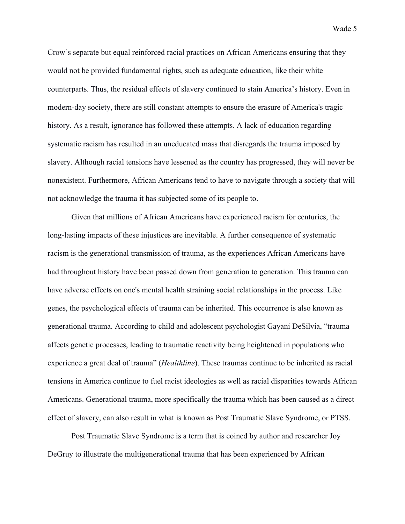Crow's separate but equal reinforced racial practices on African Americans ensuring that they would not be provided fundamental rights, such as adequate education, like their white counterparts. Thus, the residual effects of slavery continued to stain America's history. Even in modern-day society, there are still constant attempts to ensure the erasure of America's tragic history. As a result, ignorance has followed these attempts. A lack of education regarding systematic racism has resulted in an uneducated mass that disregards the trauma imposed by slavery. Although racial tensions have lessened as the country has progressed, they will never be nonexistent. Furthermore, African Americans tend to have to navigate through a society that will not acknowledge the trauma it has subjected some of its people to.

Given that millions of African Americans have experienced racism for centuries, the long-lasting impacts of these injustices are inevitable. A further consequence of systematic racism is the generational transmission of trauma, as the experiences African Americans have had throughout history have been passed down from generation to generation. This trauma can have adverse effects on one's mental health straining social relationships in the process. Like genes, the psychological effects of trauma can be inherited. This occurrence is also known as generational trauma. According to child and adolescent psychologist Gayani DeSilvia, "trauma affects genetic processes, leading to traumatic reactivity being heightened in populations who experience a great deal of trauma" (*Healthline*). These traumas continue to be inherited as racial tensions in America continue to fuel racist ideologies as well as racial disparities towards African Americans. Generational trauma, more specifically the trauma which has been caused as a direct effect of slavery, can also result in what is known as Post Traumatic Slave Syndrome, or PTSS.

Post Traumatic Slave Syndrome is a term that is coined by author and researcher Joy DeGruy to illustrate the multigenerational trauma that has been experienced by African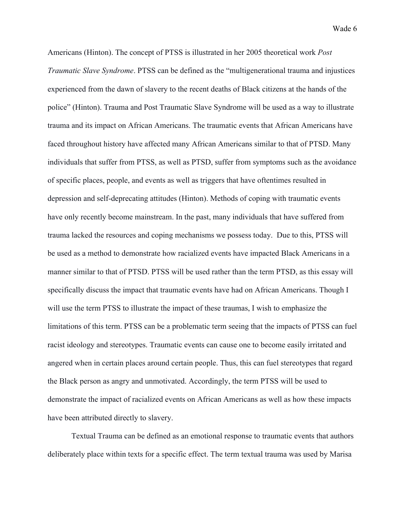Americans (Hinton). The concept of PTSS is illustrated in her 2005 theoretical work *Post Traumatic Slave Syndrome*. PTSS can be defined as the "multigenerational trauma and injustices experienced from the dawn of slavery to the recent deaths of Black citizens at the hands of the police" (Hinton). Trauma and Post Traumatic Slave Syndrome will be used as a way to illustrate trauma and its impact on African Americans. The traumatic events that African Americans have faced throughout history have affected many African Americans similar to that of PTSD. Many individuals that suffer from PTSS, as well as PTSD, suffer from symptoms such as the avoidance of specific places, people, and events as well as triggers that have oftentimes resulted in depression and self-deprecating attitudes (Hinton). Methods of coping with traumatic events have only recently become mainstream. In the past, many individuals that have suffered from trauma lacked the resources and coping mechanisms we possess today. Due to this, PTSS will be used as a method to demonstrate how racialized events have impacted Black Americans in a manner similar to that of PTSD. PTSS will be used rather than the term PTSD, as this essay will specifically discuss the impact that traumatic events have had on African Americans. Though I will use the term PTSS to illustrate the impact of these traumas, I wish to emphasize the limitations of this term. PTSS can be a problematic term seeing that the impacts of PTSS can fuel racist ideology and stereotypes. Traumatic events can cause one to become easily irritated and angered when in certain places around certain people. Thus, this can fuel stereotypes that regard the Black person as angry and unmotivated. Accordingly, the term PTSS will be used to demonstrate the impact of racialized events on African Americans as well as how these impacts have been attributed directly to slavery.

Textual Trauma can be defined as an emotional response to traumatic events that authors deliberately place within texts for a specific effect. The term textual trauma was used by Marisa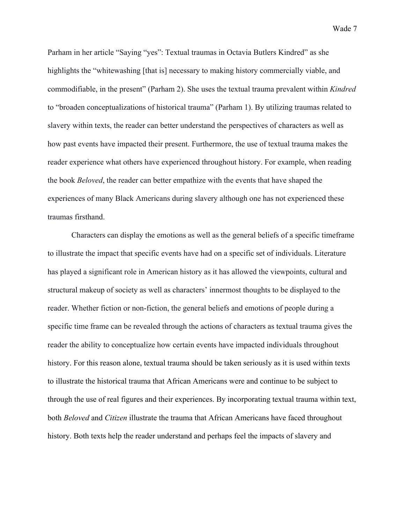Parham in her article "Saying "yes": Textual traumas in Octavia Butlers Kindred" as she highlights the "whitewashing [that is] necessary to making history commercially viable, and commodifiable, in the present" (Parham 2). She uses the textual trauma prevalent within *Kindred* to "broaden conceptualizations of historical trauma" (Parham 1). By utilizing traumas related to slavery within texts, the reader can better understand the perspectives of characters as well as how past events have impacted their present. Furthermore, the use of textual trauma makes the reader experience what others have experienced throughout history. For example, when reading the book *Beloved*, the reader can better empathize with the events that have shaped the experiences of many Black Americans during slavery although one has not experienced these traumas firsthand.

Characters can display the emotions as well as the general beliefs of a specific timeframe to illustrate the impact that specific events have had on a specific set of individuals. Literature has played a significant role in American history as it has allowed the viewpoints, cultural and structural makeup of society as well as characters' innermost thoughts to be displayed to the reader. Whether fiction or non-fiction, the general beliefs and emotions of people during a specific time frame can be revealed through the actions of characters as textual trauma gives the reader the ability to conceptualize how certain events have impacted individuals throughout history. For this reason alone, textual trauma should be taken seriously as it is used within texts to illustrate the historical trauma that African Americans were and continue to be subject to through the use of real figures and their experiences. By incorporating textual trauma within text, both *Beloved* and *Citizen* illustrate the trauma that African Americans have faced throughout history. Both texts help the reader understand and perhaps feel the impacts of slavery and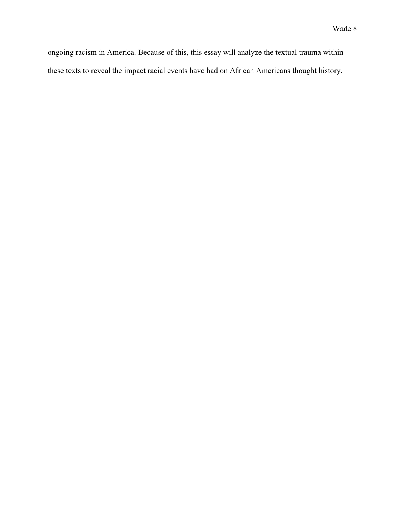ongoing racism in America. Because of this, this essay will analyze the textual trauma within these texts to reveal the impact racial events have had on African Americans thought history.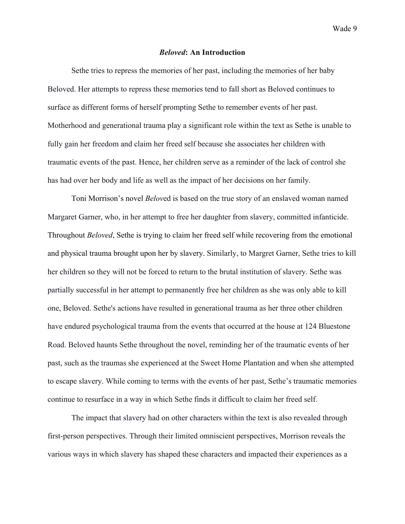### *Beloved***: An Introduction**

Sethe tries to repress the memories of her past, including the memories of her baby Beloved. Her attempts to repress these memories tend to fall short as Beloved continues to surface as different forms of herself prompting Sethe to remember events of her past. Motherhood and generational trauma play a significant role within the text as Sethe is unable to fully gain her freedom and claim her freed self because she associates her children with traumatic events of the past. Hence, her children serve as a reminder of the lack of control she has had over her body and life as well as the impact of her decisions on her family.

Toni Morrison's novel *Belov*ed is based on the true story of an enslaved woman named Margaret Garner, who, in her attempt to free her daughter from slavery, committed infanticide. Throughout *Beloved*, Sethe is trying to claim her freed self while recovering from the emotional and physical trauma brought upon her by slavery. Similarly, to Margret Garner, Sethe tries to kill her children so they will not be forced to return to the brutal institution of slavery. Sethe was partially successful in her attempt to permanently free her children as she was only able to kill one, Beloved. Sethe's actions have resulted in generational trauma as her three other children have endured psychological trauma from the events that occurred at the house at 124 Bluestone Road. Beloved haunts Sethe throughout the novel, reminding her of the traumatic events of her past, such as the traumas she experienced at the Sweet Home Plantation and when she attempted to escape slavery. While coming to terms with the events of her past, Sethe's traumatic memories continue to resurface in a way in which Sethe finds it difficult to claim her freed self.

The impact that slavery had on other characters within the text is also revealed through first-person perspectives. Through their limited omniscient perspectives, Morrison reveals the various ways in which slavery has shaped these characters and impacted their experiences as a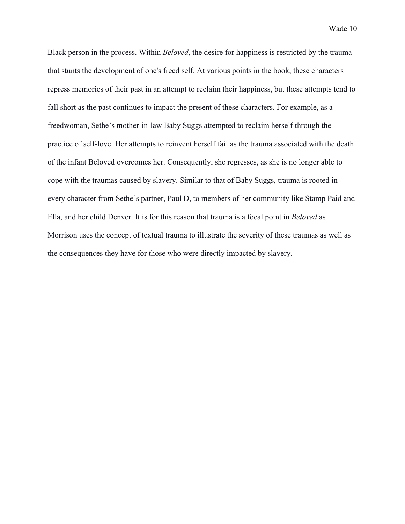Black person in the process. Within *Beloved*, the desire for happiness is restricted by the trauma that stunts the development of one's freed self. At various points in the book, these characters repress memories of their past in an attempt to reclaim their happiness, but these attempts tend to fall short as the past continues to impact the present of these characters. For example, as a freedwoman, Sethe's mother-in-law Baby Suggs attempted to reclaim herself through the practice of self-love. Her attempts to reinvent herself fail as the trauma associated with the death of the infant Beloved overcomes her. Consequently, she regresses, as she is no longer able to cope with the traumas caused by slavery. Similar to that of Baby Suggs, trauma is rooted in every character from Sethe's partner, Paul D, to members of her community like Stamp Paid and Ella, and her child Denver. It is for this reason that trauma is a focal point in *Beloved* as Morrison uses the concept of textual trauma to illustrate the severity of these traumas as well as the consequences they have for those who were directly impacted by slavery.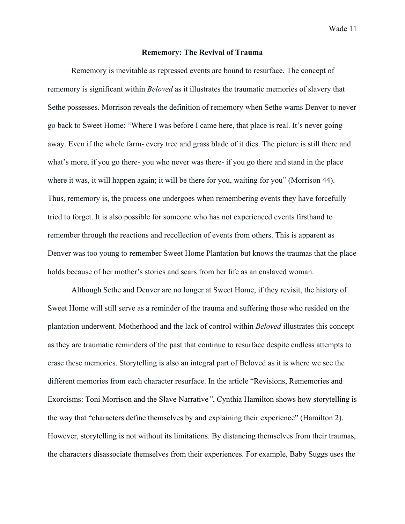### **Rememory: The Revival of Trauma**

Rememory is inevitable as repressed events are bound to resurface. The concept of rememory is significant within *Beloved* as it illustrates the traumatic memories of slavery that Sethe possesses. Morrison reveals the definition of rememory when Sethe warns Denver to never go back to Sweet Home: "Where I was before I came here, that place is real. It's never going away. Even if the whole farm- every tree and grass blade of it dies. The picture is still there and what's more, if you go there- you who never was there- if you go there and stand in the place where it was, it will happen again; it will be there for you, waiting for you" (Morrison 44). Thus, rememory is, the process one undergoes when remembering events they have forcefully tried to forget. It is also possible for someone who has not experienced events firsthand to remember through the reactions and recollection of events from others. This is apparent as Denver was too young to remember Sweet Home Plantation but knows the traumas that the place holds because of her mother's stories and scars from her life as an enslaved woman.

Although Sethe and Denver are no longer at Sweet Home, if they revisit, the history of Sweet Home will still serve as a reminder of the trauma and suffering those who resided on the plantation underwent. Motherhood and the lack of control within *Beloved* illustrates this concept as they are traumatic reminders of the past that continue to resurface despite endless attempts to erase these memories. Storytelling is also an integral part of Beloved as it is where we see the different memories from each character resurface. In the article "Revisions, Rememories and Exorcisms: Toni Morrison and the Slave Narrative*"*, Cynthia Hamilton shows how storytelling is the way that "characters define themselves by and explaining their experience" (Hamilton 2). However, storytelling is not without its limitations. By distancing themselves from their traumas, the characters disassociate themselves from their experiences. For example, Baby Suggs uses the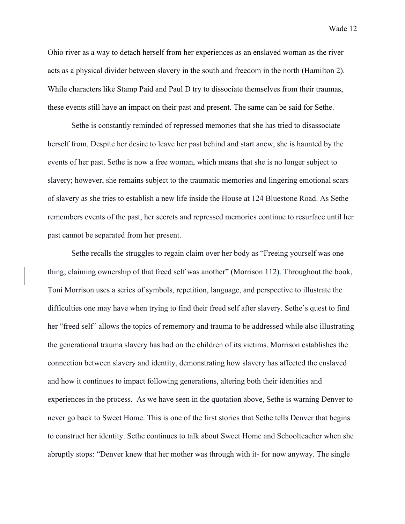Ohio river as a way to detach herself from her experiences as an enslaved woman as the river acts as a physical divider between slavery in the south and freedom in the north (Hamilton 2). While characters like Stamp Paid and Paul D try to dissociate themselves from their traumas, these events still have an impact on their past and present. The same can be said for Sethe.

Sethe is constantly reminded of repressed memories that she has tried to disassociate herself from. Despite her desire to leave her past behind and start anew, she is haunted by the events of her past. Sethe is now a free woman, which means that she is no longer subject to slavery; however, she remains subject to the traumatic memories and lingering emotional scars of slavery as she tries to establish a new life inside the House at 124 Bluestone Road. As Sethe remembers events of the past, her secrets and repressed memories continue to resurface until her past cannot be separated from her present.

Sethe recalls the struggles to regain claim over her body as "Freeing yourself was one thing; claiming ownership of that freed self was another" (Morrison 112). Throughout the book, Toni Morrison uses a series of symbols, repetition, language, and perspective to illustrate the difficulties one may have when trying to find their freed self after slavery. Sethe's quest to find her "freed self" allows the topics of rememory and trauma to be addressed while also illustrating the generational trauma slavery has had on the children of its victims. Morrison establishes the connection between slavery and identity, demonstrating how slavery has affected the enslaved and how it continues to impact following generations, altering both their identities and experiences in the process. As we have seen in the quotation above, Sethe is warning Denver to never go back to Sweet Home. This is one of the first stories that Sethe tells Denver that begins to construct her identity. Sethe continues to talk about Sweet Home and Schoolteacher when she abruptly stops: "Denver knew that her mother was through with it- for now anyway. The single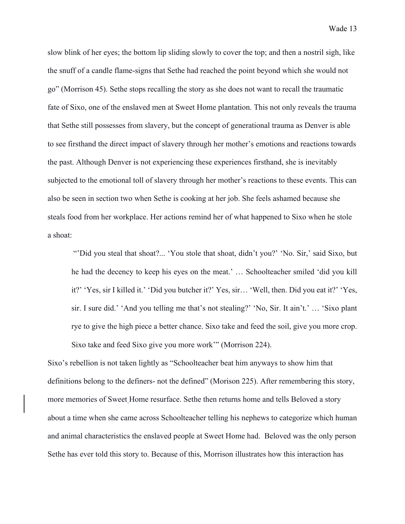slow blink of her eyes; the bottom lip sliding slowly to cover the top; and then a nostril sigh, like the snuff of a candle flame-signs that Sethe had reached the point beyond which she would not go" (Morrison 45). Sethe stops recalling the story as she does not want to recall the traumatic fate of Sixo, one of the enslaved men at Sweet Home plantation. This not only reveals the trauma that Sethe still possesses from slavery, but the concept of generational trauma as Denver is able to see firsthand the direct impact of slavery through her mother's emotions and reactions towards the past. Although Denver is not experiencing these experiences firsthand, she is inevitably subjected to the emotional toll of slavery through her mother's reactions to these events. This can also be seen in section two when Sethe is cooking at her job. She feels ashamed because she steals food from her workplace. Her actions remind her of what happened to Sixo when he stole a shoat:

"'Did you steal that shoat?... 'You stole that shoat, didn't you?' 'No. Sir,' said Sixo, but he had the decency to keep his eyes on the meat.' … Schoolteacher smiled 'did you kill it?' 'Yes, sir I killed it.' 'Did you butcher it?' Yes, sir… 'Well, then. Did you eat it?' 'Yes, sir. I sure did.' 'And you telling me that's not stealing?' 'No, Sir. It ain't.' … 'Sixo plant rye to give the high piece a better chance. Sixo take and feed the soil, give you more crop. Sixo take and feed Sixo give you more work'" (Morrison 224).

Sixo's rebellion is not taken lightly as "Schoolteacher beat him anyways to show him that definitions belong to the definers- not the defined" (Morison 225). After remembering this story, more memories of Sweet Home resurface. Sethe then returns home and tells Beloved a story about a time when she came across Schoolteacher telling his nephews to categorize which human and animal characteristics the enslaved people at Sweet Home had. Beloved was the only person Sethe has ever told this story to. Because of this, Morrison illustrates how this interaction has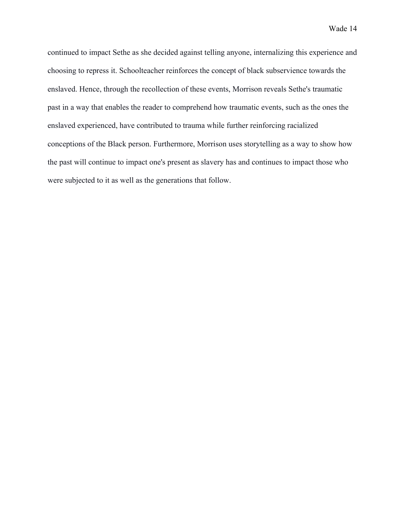continued to impact Sethe as she decided against telling anyone, internalizing this experience and choosing to repress it. Schoolteacher reinforces the concept of black subservience towards the enslaved. Hence, through the recollection of these events, Morrison reveals Sethe's traumatic past in a way that enables the reader to comprehend how traumatic events, such as the ones the enslaved experienced, have contributed to trauma while further reinforcing racialized conceptions of the Black person. Furthermore, Morrison uses storytelling as a way to show how the past will continue to impact one's present as slavery has and continues to impact those who were subjected to it as well as the generations that follow.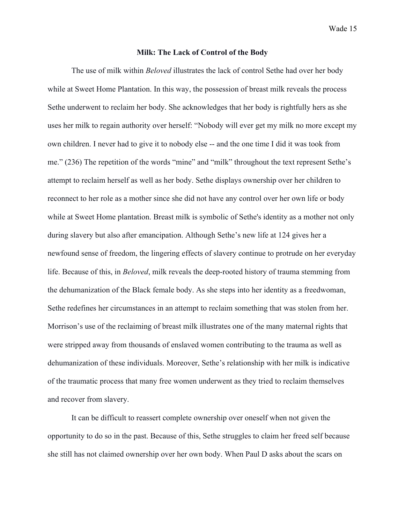# **Milk: The Lack of Control of the Body**

The use of milk within *Beloved* illustrates the lack of control Sethe had over her body while at Sweet Home Plantation. In this way, the possession of breast milk reveals the process Sethe underwent to reclaim her body. She acknowledges that her body is rightfully hers as she uses her milk to regain authority over herself: "Nobody will ever get my milk no more except my own children. I never had to give it to nobody else -- and the one time I did it was took from me." (236) The repetition of the words "mine" and "milk" throughout the text represent Sethe's attempt to reclaim herself as well as her body. Sethe displays ownership over her children to reconnect to her role as a mother since she did not have any control over her own life or body while at Sweet Home plantation. Breast milk is symbolic of Sethe's identity as a mother not only during slavery but also after emancipation. Although Sethe's new life at 124 gives her a newfound sense of freedom, the lingering effects of slavery continue to protrude on her everyday life. Because of this, in *Beloved*, milk reveals the deep-rooted history of trauma stemming from the dehumanization of the Black female body. As she steps into her identity as a freedwoman, Sethe redefines her circumstances in an attempt to reclaim something that was stolen from her. Morrison's use of the reclaiming of breast milk illustrates one of the many maternal rights that were stripped away from thousands of enslaved women contributing to the trauma as well as dehumanization of these individuals. Moreover, Sethe's relationship with her milk is indicative of the traumatic process that many free women underwent as they tried to reclaim themselves and recover from slavery.

It can be difficult to reassert complete ownership over oneself when not given the opportunity to do so in the past. Because of this, Sethe struggles to claim her freed self because she still has not claimed ownership over her own body. When Paul D asks about the scars on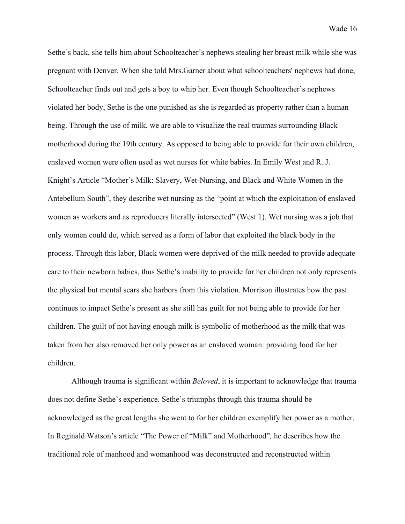Sethe's back, she tells him about Schoolteacher's nephews stealing her breast milk while she was pregnant with Denver. When she told Mrs.Garner about what schoolteachers' nephews had done, Schoolteacher finds out and gets a boy to whip her. Even though Schoolteacher's nephews violated her body, Sethe is the one punished as she is regarded as property rather than a human being. Through the use of milk, we are able to visualize the real traumas surrounding Black motherhood during the 19th century. As opposed to being able to provide for their own children, enslaved women were often used as wet nurses for white babies. In Emily West and R. J. Knight's Article "Mother's Milk: Slavery, Wet-Nursing, and Black and White Women in the Antebellum South", they describe wet nursing as the "point at which the exploitation of enslaved women as workers and as reproducers literally intersected" (West 1). Wet nursing was a job that only women could do, which served as a form of labor that exploited the black body in the process. Through this labor, Black women were deprived of the milk needed to provide adequate care to their newborn babies, thus Sethe's inability to provide for her children not only represents the physical but mental scars she harbors from this violation. Morrison illustrates how the past continues to impact Sethe's present as she still has guilt for not being able to provide for her children. The guilt of not having enough milk is symbolic of motherhood as the milk that was taken from her also removed her only power as an enslaved woman: providing food for her children.

Although trauma is significant within *Beloved*, it is important to acknowledge that trauma does not define Sethe's experience. Sethe's triumphs through this trauma should be acknowledged as the great lengths she went to for her children exemplify her power as a mother. In Reginald Watson's article "The Power of "Milk" and Motherhood"*,* he describes how the traditional role of manhood and womanhood was deconstructed and reconstructed within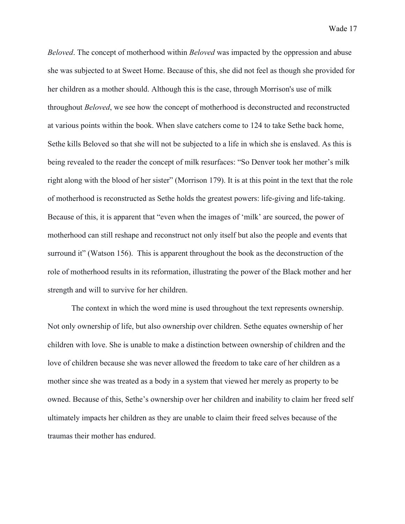*Beloved*. The concept of motherhood within *Beloved* was impacted by the oppression and abuse she was subjected to at Sweet Home. Because of this, she did not feel as though she provided for her children as a mother should. Although this is the case, through Morrison's use of milk throughout *Beloved*, we see how the concept of motherhood is deconstructed and reconstructed at various points within the book. When slave catchers come to 124 to take Sethe back home, Sethe kills Beloved so that she will not be subjected to a life in which she is enslaved. As this is being revealed to the reader the concept of milk resurfaces: "So Denver took her mother's milk right along with the blood of her sister" (Morrison 179). It is at this point in the text that the role of motherhood is reconstructed as Sethe holds the greatest powers: life-giving and life-taking. Because of this, it is apparent that "even when the images of 'milk' are sourced, the power of motherhood can still reshape and reconstruct not only itself but also the people and events that surround it" (Watson 156). This is apparent throughout the book as the deconstruction of the role of motherhood results in its reformation, illustrating the power of the Black mother and her strength and will to survive for her children.

The context in which the word mine is used throughout the text represents ownership. Not only ownership of life, but also ownership over children. Sethe equates ownership of her children with love. She is unable to make a distinction between ownership of children and the love of children because she was never allowed the freedom to take care of her children as a mother since she was treated as a body in a system that viewed her merely as property to be owned. Because of this, Sethe's ownership over her children and inability to claim her freed self ultimately impacts her children as they are unable to claim their freed selves because of the traumas their mother has endured.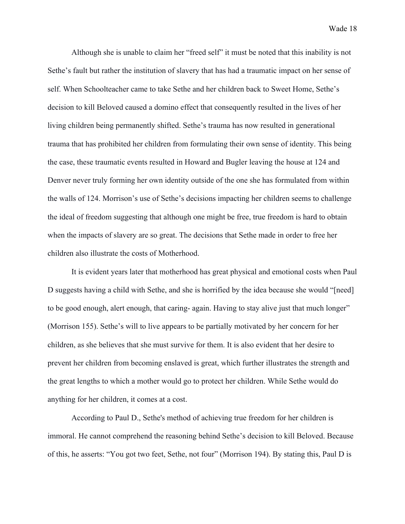Although she is unable to claim her "freed self" it must be noted that this inability is not Sethe's fault but rather the institution of slavery that has had a traumatic impact on her sense of self. When Schoolteacher came to take Sethe and her children back to Sweet Home, Sethe's decision to kill Beloved caused a domino effect that consequently resulted in the lives of her living children being permanently shifted. Sethe's trauma has now resulted in generational trauma that has prohibited her children from formulating their own sense of identity. This being the case, these traumatic events resulted in Howard and Bugler leaving the house at 124 and Denver never truly forming her own identity outside of the one she has formulated from within the walls of 124. Morrison's use of Sethe's decisions impacting her children seems to challenge the ideal of freedom suggesting that although one might be free, true freedom is hard to obtain when the impacts of slavery are so great. The decisions that Sethe made in order to free her children also illustrate the costs of Motherhood.

It is evident years later that motherhood has great physical and emotional costs when Paul D suggests having a child with Sethe, and she is horrified by the idea because she would "[need] to be good enough, alert enough, that caring- again. Having to stay alive just that much longer" (Morrison 155). Sethe's will to live appears to be partially motivated by her concern for her children, as she believes that she must survive for them. It is also evident that her desire to prevent her children from becoming enslaved is great, which further illustrates the strength and the great lengths to which a mother would go to protect her children. While Sethe would do anything for her children, it comes at a cost.

According to Paul D., Sethe's method of achieving true freedom for her children is immoral. He cannot comprehend the reasoning behind Sethe's decision to kill Beloved. Because of this, he asserts: "You got two feet, Sethe, not four" (Morrison 194). By stating this, Paul D is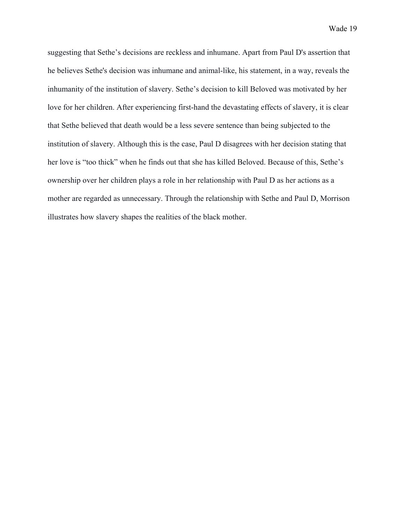suggesting that Sethe's decisions are reckless and inhumane. Apart from Paul D's assertion that he believes Sethe's decision was inhumane and animal-like, his statement, in a way, reveals the inhumanity of the institution of slavery. Sethe's decision to kill Beloved was motivated by her love for her children. After experiencing first-hand the devastating effects of slavery, it is clear that Sethe believed that death would be a less severe sentence than being subjected to the institution of slavery. Although this is the case, Paul D disagrees with her decision stating that her love is "too thick" when he finds out that she has killed Beloved. Because of this, Sethe's ownership over her children plays a role in her relationship with Paul D as her actions as a mother are regarded as unnecessary. Through the relationship with Sethe and Paul D, Morrison illustrates how slavery shapes the realities of the black mother.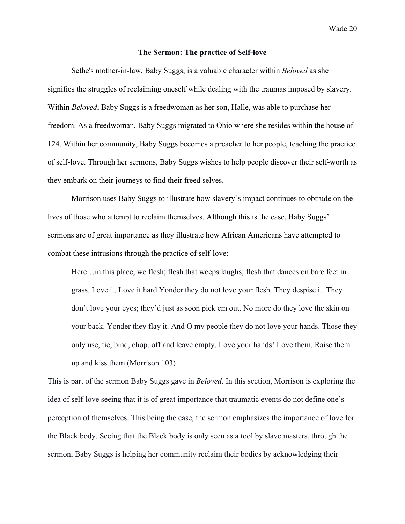#### **The Sermon: The practice of Self-love**

Sethe's mother-in-law, Baby Suggs, is a valuable character within *Beloved* as she signifies the struggles of reclaiming oneself while dealing with the traumas imposed by slavery. Within *Beloved*, Baby Suggs is a freedwoman as her son, Halle, was able to purchase her freedom. As a freedwoman, Baby Suggs migrated to Ohio where she resides within the house of 124. Within her community, Baby Suggs becomes a preacher to her people, teaching the practice of self-love. Through her sermons, Baby Suggs wishes to help people discover their self-worth as they embark on their journeys to find their freed selves.

Morrison uses Baby Suggs to illustrate how slavery's impact continues to obtrude on the lives of those who attempt to reclaim themselves. Although this is the case, Baby Suggs' sermons are of great importance as they illustrate how African Americans have attempted to combat these intrusions through the practice of self-love:

Here…in this place, we flesh; flesh that weeps laughs; flesh that dances on bare feet in grass. Love it. Love it hard Yonder they do not love your flesh. They despise it. They don't love your eyes; they'd just as soon pick em out. No more do they love the skin on your back. Yonder they flay it. And O my people they do not love your hands. Those they only use, tie, bind, chop, off and leave empty. Love your hands! Love them. Raise them up and kiss them (Morrison 103)

This is part of the sermon Baby Suggs gave in *Beloved*. In this section, Morrison is exploring the idea of self-love seeing that it is of great importance that traumatic events do not define one's perception of themselves. This being the case, the sermon emphasizes the importance of love for the Black body. Seeing that the Black body is only seen as a tool by slave masters, through the sermon, Baby Suggs is helping her community reclaim their bodies by acknowledging their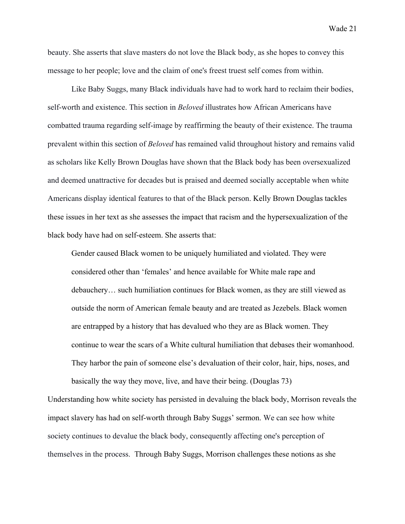beauty. She asserts that slave masters do not love the Black body, as she hopes to convey this message to her people; love and the claim of one's freest truest self comes from within.

Like Baby Suggs, many Black individuals have had to work hard to reclaim their bodies, self-worth and existence. This section in *Beloved* illustrates how African Americans have combatted trauma regarding self-image by reaffirming the beauty of their existence. The trauma prevalent within this section of *Beloved* has remained valid throughout history and remains valid as scholars like Kelly Brown Douglas have shown that the Black body has been oversexualized and deemed unattractive for decades but is praised and deemed socially acceptable when white Americans display identical features to that of the Black person. Kelly Brown Douglas tackles these issues in her text as she assesses the impact that racism and the hypersexualization of the black body have had on self-esteem. She asserts that:

Gender caused Black women to be uniquely humiliated and violated. They were considered other than 'females' and hence available for White male rape and debauchery… such humiliation continues for Black women, as they are still viewed as outside the norm of American female beauty and are treated as Jezebels. Black women are entrapped by a history that has devalued who they are as Black women. They continue to wear the scars of a White cultural humiliation that debases their womanhood. They harbor the pain of someone else's devaluation of their color, hair, hips, noses, and basically the way they move, live, and have their being. (Douglas 73)

Understanding how white society has persisted in devaluing the black body, Morrison reveals the impact slavery has had on self-worth through Baby Suggs' sermon. We can see how white society continues to devalue the black body, consequently affecting one's perception of themselves in the process. Through Baby Suggs, Morrison challenges these notions as she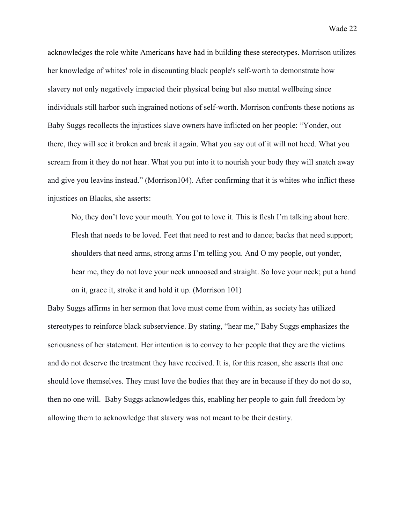acknowledges the role white Americans have had in building these stereotypes. Morrison utilizes her knowledge of whites' role in discounting black people's self-worth to demonstrate how slavery not only negatively impacted their physical being but also mental wellbeing since individuals still harbor such ingrained notions of self-worth. Morrison confronts these notions as Baby Suggs recollects the injustices slave owners have inflicted on her people: "Yonder, out there, they will see it broken and break it again. What you say out of it will not heed. What you scream from it they do not hear. What you put into it to nourish your body they will snatch away and give you leavins instead." (Morrison104). After confirming that it is whites who inflict these injustices on Blacks, she asserts:

No, they don't love your mouth. You got to love it. This is flesh I'm talking about here. Flesh that needs to be loved. Feet that need to rest and to dance; backs that need support; shoulders that need arms, strong arms I'm telling you. And O my people, out yonder, hear me, they do not love your neck unnoosed and straight. So love your neck; put a hand on it, grace it, stroke it and hold it up. (Morrison 101)

Baby Suggs affirms in her sermon that love must come from within, as society has utilized stereotypes to reinforce black subservience. By stating, "hear me," Baby Suggs emphasizes the seriousness of her statement. Her intention is to convey to her people that they are the victims and do not deserve the treatment they have received. It is, for this reason, she asserts that one should love themselves. They must love the bodies that they are in because if they do not do so, then no one will. Baby Suggs acknowledges this, enabling her people to gain full freedom by allowing them to acknowledge that slavery was not meant to be their destiny.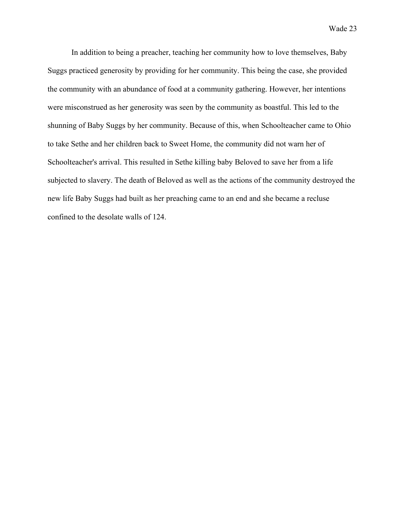In addition to being a preacher, teaching her community how to love themselves, Baby Suggs practiced generosity by providing for her community. This being the case, she provided the community with an abundance of food at a community gathering. However, her intentions were misconstrued as her generosity was seen by the community as boastful. This led to the shunning of Baby Suggs by her community. Because of this, when Schoolteacher came to Ohio to take Sethe and her children back to Sweet Home, the community did not warn her of Schoolteacher's arrival. This resulted in Sethe killing baby Beloved to save her from a life subjected to slavery. The death of Beloved as well as the actions of the community destroyed the new life Baby Suggs had built as her preaching came to an end and she became a recluse confined to the desolate walls of 124.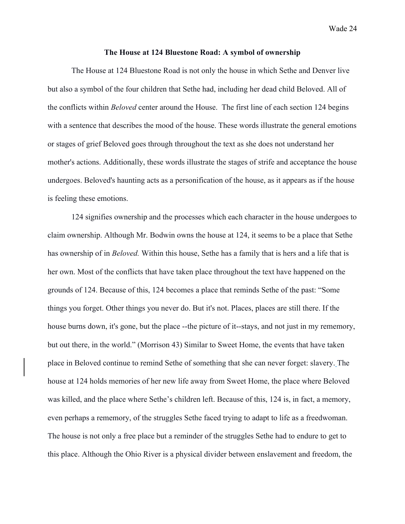#### **The House at 124 Bluestone Road: A symbol of ownership**

The House at 124 Bluestone Road is not only the house in which Sethe and Denver live but also a symbol of the four children that Sethe had, including her dead child Beloved. All of the conflicts within *Beloved* center around the House. The first line of each section 124 begins with a sentence that describes the mood of the house. These words illustrate the general emotions or stages of grief Beloved goes through throughout the text as she does not understand her mother's actions. Additionally, these words illustrate the stages of strife and acceptance the house undergoes. Beloved's haunting acts as a personification of the house, as it appears as if the house is feeling these emotions.

124 signifies ownership and the processes which each character in the house undergoes to claim ownership. Although Mr. Bodwin owns the house at 124, it seems to be a place that Sethe has ownership of in *Beloved.* Within this house, Sethe has a family that is hers and a life that is her own. Most of the conflicts that have taken place throughout the text have happened on the grounds of 124. Because of this, 124 becomes a place that reminds Sethe of the past: "Some things you forget. Other things you never do. But it's not. Places, places are still there. If the house burns down, it's gone, but the place --the picture of it--stays, and not just in my rememory, but out there, in the world." (Morrison 43) Similar to Sweet Home, the events that have taken place in Beloved continue to remind Sethe of something that she can never forget: slavery. The house at 124 holds memories of her new life away from Sweet Home, the place where Beloved was killed, and the place where Sethe's children left. Because of this, 124 is, in fact, a memory, even perhaps a rememory, of the struggles Sethe faced trying to adapt to life as a freedwoman. The house is not only a free place but a reminder of the struggles Sethe had to endure to get to this place. Although the Ohio River is a physical divider between enslavement and freedom, the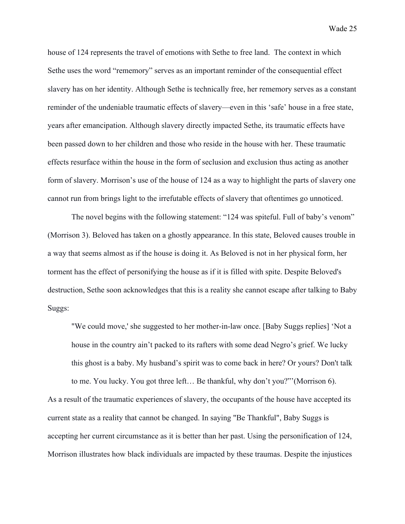house of 124 represents the travel of emotions with Sethe to free land. The context in which Sethe uses the word "rememory" serves as an important reminder of the consequential effect slavery has on her identity. Although Sethe is technically free, her rememory serves as a constant reminder of the undeniable traumatic effects of slavery—even in this 'safe' house in a free state, years after emancipation. Although slavery directly impacted Sethe, its traumatic effects have been passed down to her children and those who reside in the house with her. These traumatic effects resurface within the house in the form of seclusion and exclusion thus acting as another form of slavery. Morrison's use of the house of 124 as a way to highlight the parts of slavery one cannot run from brings light to the irrefutable effects of slavery that oftentimes go unnoticed.

The novel begins with the following statement: "124 was spiteful. Full of baby's venom" (Morrison 3). Beloved has taken on a ghostly appearance. In this state, Beloved causes trouble in a way that seems almost as if the house is doing it. As Beloved is not in her physical form, her torment has the effect of personifying the house as if it is filled with spite. Despite Beloved's destruction, Sethe soon acknowledges that this is a reality she cannot escape after talking to Baby Suggs:

"We could move,' she suggested to her mother-in-law once. [Baby Suggs replies] 'Not a house in the country ain't packed to its rafters with some dead Negro's grief. We lucky this ghost is a baby. My husband's spirit was to come back in here? Or yours? Don't talk to me. You lucky. You got three left… Be thankful, why don't you?"'(Morrison 6).

As a result of the traumatic experiences of slavery, the occupants of the house have accepted its current state as a reality that cannot be changed. In saying "Be Thankful", Baby Suggs is accepting her current circumstance as it is better than her past. Using the personification of 124, Morrison illustrates how black individuals are impacted by these traumas. Despite the injustices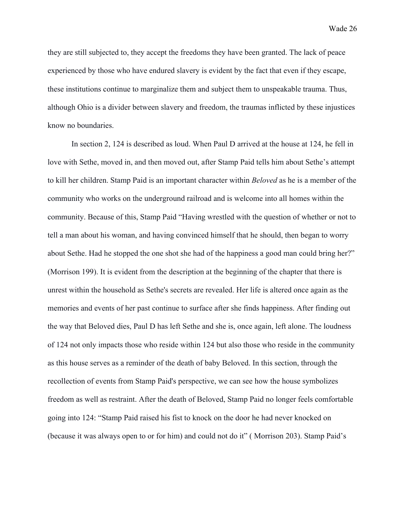they are still subjected to, they accept the freedoms they have been granted. The lack of peace experienced by those who have endured slavery is evident by the fact that even if they escape, these institutions continue to marginalize them and subject them to unspeakable trauma. Thus, although Ohio is a divider between slavery and freedom, the traumas inflicted by these injustices know no boundaries.

In section 2, 124 is described as loud. When Paul D arrived at the house at 124, he fell in love with Sethe, moved in, and then moved out, after Stamp Paid tells him about Sethe's attempt to kill her children. Stamp Paid is an important character within *Beloved* as he is a member of the community who works on the underground railroad and is welcome into all homes within the community. Because of this, Stamp Paid "Having wrestled with the question of whether or not to tell a man about his woman, and having convinced himself that he should, then began to worry about Sethe. Had he stopped the one shot she had of the happiness a good man could bring her?" (Morrison 199). It is evident from the description at the beginning of the chapter that there is unrest within the household as Sethe's secrets are revealed. Her life is altered once again as the memories and events of her past continue to surface after she finds happiness. After finding out the way that Beloved dies, Paul D has left Sethe and she is, once again, left alone. The loudness of 124 not only impacts those who reside within 124 but also those who reside in the community as this house serves as a reminder of the death of baby Beloved. In this section, through the recollection of events from Stamp Paid's perspective, we can see how the house symbolizes freedom as well as restraint. After the death of Beloved, Stamp Paid no longer feels comfortable going into 124: "Stamp Paid raised his fist to knock on the door he had never knocked on (because it was always open to or for him) and could not do it" ( Morrison 203). Stamp Paid's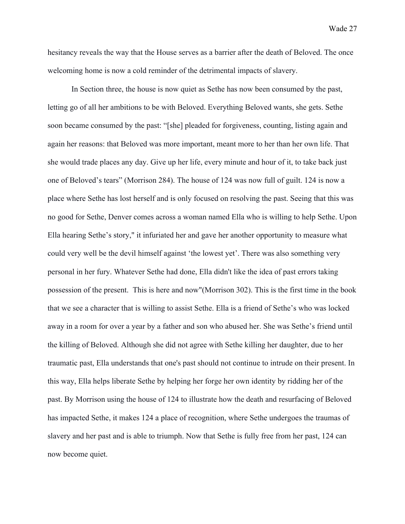hesitancy reveals the way that the House serves as a barrier after the death of Beloved. The once welcoming home is now a cold reminder of the detrimental impacts of slavery.

In Section three, the house is now quiet as Sethe has now been consumed by the past, letting go of all her ambitions to be with Beloved. Everything Beloved wants, she gets. Sethe soon became consumed by the past: "[she] pleaded for forgiveness, counting, listing again and again her reasons: that Beloved was more important, meant more to her than her own life. That she would trade places any day. Give up her life, every minute and hour of it, to take back just one of Beloved's tears" (Morrison 284). The house of 124 was now full of guilt. 124 is now a place where Sethe has lost herself and is only focused on resolving the past. Seeing that this was no good for Sethe, Denver comes across a woman named Ella who is willing to help Sethe. Upon Ella hearing Sethe's story," it infuriated her and gave her another opportunity to measure what could very well be the devil himself against 'the lowest yet'. There was also something very personal in her fury. Whatever Sethe had done, Ella didn't like the idea of past errors taking possession of the present. This is here and now"(Morrison 302). This is the first time in the book that we see a character that is willing to assist Sethe. Ella is a friend of Sethe's who was locked away in a room for over a year by a father and son who abused her. She was Sethe's friend until the killing of Beloved. Although she did not agree with Sethe killing her daughter, due to her traumatic past, Ella understands that one's past should not continue to intrude on their present. In this way, Ella helps liberate Sethe by helping her forge her own identity by ridding her of the past. By Morrison using the house of 124 to illustrate how the death and resurfacing of Beloved has impacted Sethe, it makes 124 a place of recognition, where Sethe undergoes the traumas of slavery and her past and is able to triumph. Now that Sethe is fully free from her past, 124 can now become quiet.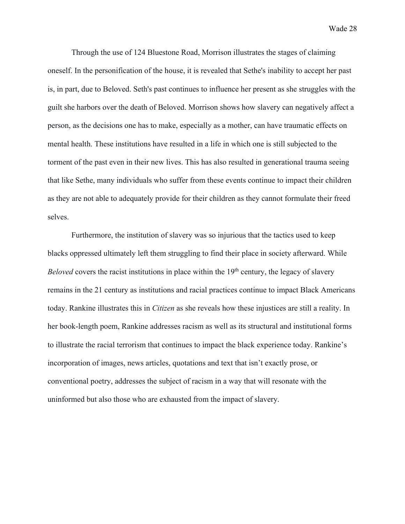Through the use of 124 Bluestone Road, Morrison illustrates the stages of claiming oneself. In the personification of the house, it is revealed that Sethe's inability to accept her past is, in part, due to Beloved. Seth's past continues to influence her present as she struggles with the guilt she harbors over the death of Beloved. Morrison shows how slavery can negatively affect a person, as the decisions one has to make, especially as a mother, can have traumatic effects on mental health. These institutions have resulted in a life in which one is still subjected to the torment of the past even in their new lives. This has also resulted in generational trauma seeing that like Sethe, many individuals who suffer from these events continue to impact their children as they are not able to adequately provide for their children as they cannot formulate their freed selves.

Furthermore, the institution of slavery was so injurious that the tactics used to keep blacks oppressed ultimately left them struggling to find their place in society afterward. While *Beloved* covers the racist institutions in place within the 19<sup>th</sup> century, the legacy of slavery remains in the 21 century as institutions and racial practices continue to impact Black Americans today. Rankine illustrates this in *Citizen* as she reveals how these injustices are still a reality. In her book-length poem, Rankine addresses racism as well as its structural and institutional forms to illustrate the racial terrorism that continues to impact the black experience today. Rankine's incorporation of images, news articles, quotations and text that isn't exactly prose, or conventional poetry, addresses the subject of racism in a way that will resonate with the uninformed but also those who are exhausted from the impact of slavery.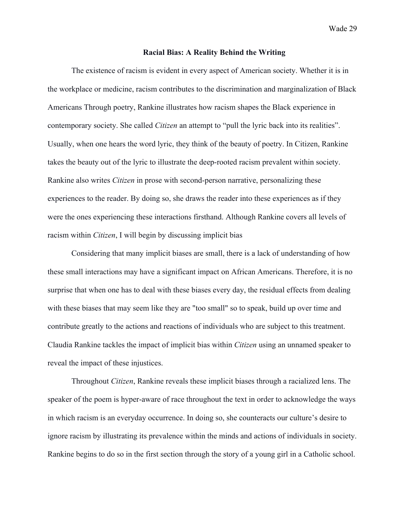## **Racial Bias: A Reality Behind the Writing**

The existence of racism is evident in every aspect of American society. Whether it is in the workplace or medicine, racism contributes to the discrimination and marginalization of Black Americans Through poetry, Rankine illustrates how racism shapes the Black experience in contemporary society. She called *Citizen* an attempt to "pull the lyric back into its realities". Usually, when one hears the word lyric, they think of the beauty of poetry. In Citizen, Rankine takes the beauty out of the lyric to illustrate the deep-rooted racism prevalent within society. Rankine also writes *Citizen* in prose with second-person narrative, personalizing these experiences to the reader. By doing so, she draws the reader into these experiences as if they were the ones experiencing these interactions firsthand. Although Rankine covers all levels of racism within *Citizen*, I will begin by discussing implicit bias

Considering that many implicit biases are small, there is a lack of understanding of how these small interactions may have a significant impact on African Americans. Therefore, it is no surprise that when one has to deal with these biases every day, the residual effects from dealing with these biases that may seem like they are "too small" so to speak, build up over time and contribute greatly to the actions and reactions of individuals who are subject to this treatment. Claudia Rankine tackles the impact of implicit bias within *Citizen* using an unnamed speaker to reveal the impact of these injustices.

Throughout *Citizen*, Rankine reveals these implicit biases through a racialized lens. The speaker of the poem is hyper-aware of race throughout the text in order to acknowledge the ways in which racism is an everyday occurrence. In doing so, she counteracts our culture's desire to ignore racism by illustrating its prevalence within the minds and actions of individuals in society. Rankine begins to do so in the first section through the story of a young girl in a Catholic school.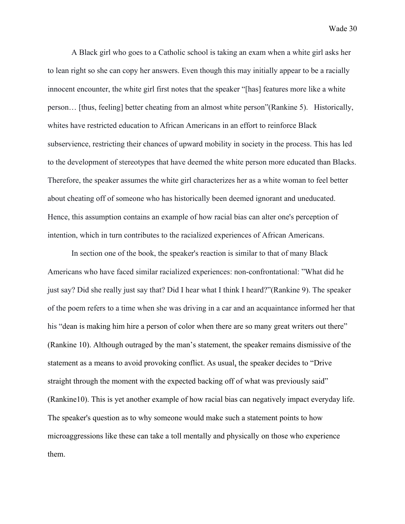A Black girl who goes to a Catholic school is taking an exam when a white girl asks her to lean right so she can copy her answers. Even though this may initially appear to be a racially innocent encounter, the white girl first notes that the speaker "[has] features more like a white person… [thus, feeling] better cheating from an almost white person"(Rankine 5). Historically, whites have restricted education to African Americans in an effort to reinforce Black subservience, restricting their chances of upward mobility in society in the process. This has led to the development of stereotypes that have deemed the white person more educated than Blacks. Therefore, the speaker assumes the white girl characterizes her as a white woman to feel better about cheating off of someone who has historically been deemed ignorant and uneducated. Hence, this assumption contains an example of how racial bias can alter one's perception of intention, which in turn contributes to the racialized experiences of African Americans.

In section one of the book, the speaker's reaction is similar to that of many Black Americans who have faced similar racialized experiences: non-confrontational: "What did he just say? Did she really just say that? Did I hear what I think I heard?"(Rankine 9). The speaker of the poem refers to a time when she was driving in a car and an acquaintance informed her that his "dean is making him hire a person of color when there are so many great writers out there" (Rankine 10). Although outraged by the man's statement, the speaker remains dismissive of the statement as a means to avoid provoking conflict. As usual, the speaker decides to "Drive straight through the moment with the expected backing off of what was previously said" (Rankine10). This is yet another example of how racial bias can negatively impact everyday life. The speaker's question as to why someone would make such a statement points to how microaggressions like these can take a toll mentally and physically on those who experience them.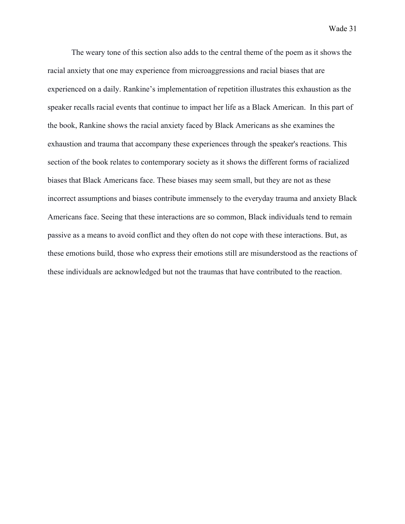The weary tone of this section also adds to the central theme of the poem as it shows the racial anxiety that one may experience from microaggressions and racial biases that are experienced on a daily. Rankine's implementation of repetition illustrates this exhaustion as the speaker recalls racial events that continue to impact her life as a Black American. In this part of the book, Rankine shows the racial anxiety faced by Black Americans as she examines the exhaustion and trauma that accompany these experiences through the speaker's reactions. This section of the book relates to contemporary society as it shows the different forms of racialized biases that Black Americans face. These biases may seem small, but they are not as these incorrect assumptions and biases contribute immensely to the everyday trauma and anxiety Black Americans face. Seeing that these interactions are so common, Black individuals tend to remain passive as a means to avoid conflict and they often do not cope with these interactions. But, as these emotions build, those who express their emotions still are misunderstood as the reactions of these individuals are acknowledged but not the traumas that have contributed to the reaction.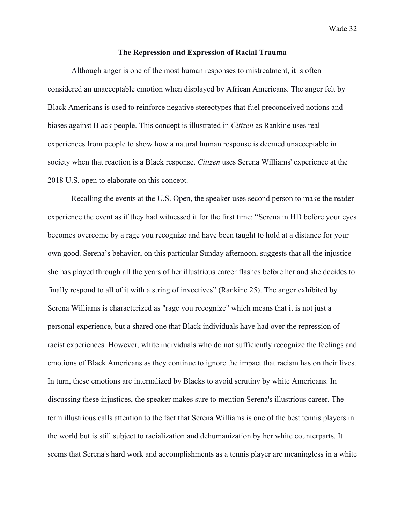### **The Repression and Expression of Racial Trauma**

Although anger is one of the most human responses to mistreatment, it is often considered an unacceptable emotion when displayed by African Americans. The anger felt by Black Americans is used to reinforce negative stereotypes that fuel preconceived notions and biases against Black people. This concept is illustrated in *Citizen* as Rankine uses real experiences from people to show how a natural human response is deemed unacceptable in society when that reaction is a Black response. *Citizen* uses Serena Williams' experience at the 2018 U.S. open to elaborate on this concept.

Recalling the events at the U.S. Open, the speaker uses second person to make the reader experience the event as if they had witnessed it for the first time: "Serena in HD before your eyes becomes overcome by a rage you recognize and have been taught to hold at a distance for your own good. Serena's behavior, on this particular Sunday afternoon, suggests that all the injustice she has played through all the years of her illustrious career flashes before her and she decides to finally respond to all of it with a string of invectives" (Rankine 25). The anger exhibited by Serena Williams is characterized as "rage you recognize" which means that it is not just a personal experience, but a shared one that Black individuals have had over the repression of racist experiences. However, white individuals who do not sufficiently recognize the feelings and emotions of Black Americans as they continue to ignore the impact that racism has on their lives. In turn, these emotions are internalized by Blacks to avoid scrutiny by white Americans. In discussing these injustices, the speaker makes sure to mention Serena's illustrious career. The term illustrious calls attention to the fact that Serena Williams is one of the best tennis players in the world but is still subject to racialization and dehumanization by her white counterparts. It seems that Serena's hard work and accomplishments as a tennis player are meaningless in a white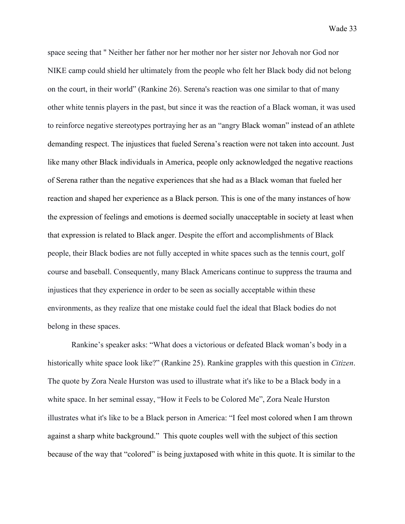space seeing that " Neither her father nor her mother nor her sister nor Jehovah nor God nor NIKE camp could shield her ultimately from the people who felt her Black body did not belong on the court, in their world" (Rankine 26). Serena's reaction was one similar to that of many other white tennis players in the past, but since it was the reaction of a Black woman, it was used to reinforce negative stereotypes portraying her as an "angry Black woman" instead of an athlete demanding respect. The injustices that fueled Serena's reaction were not taken into account. Just like many other Black individuals in America, people only acknowledged the negative reactions of Serena rather than the negative experiences that she had as a Black woman that fueled her reaction and shaped her experience as a Black person. This is one of the many instances of how the expression of feelings and emotions is deemed socially unacceptable in society at least when that expression is related to Black anger. Despite the effort and accomplishments of Black people, their Black bodies are not fully accepted in white spaces such as the tennis court, golf course and baseball. Consequently, many Black Americans continue to suppress the trauma and injustices that they experience in order to be seen as socially acceptable within these environments, as they realize that one mistake could fuel the ideal that Black bodies do not belong in these spaces.

Rankine's speaker asks: "What does a victorious or defeated Black woman's body in a historically white space look like?" (Rankine 25). Rankine grapples with this question in *Citizen*. The quote by Zora Neale Hurston was used to illustrate what it's like to be a Black body in a white space. In her seminal essay, "How it Feels to be Colored Me", Zora Neale Hurston illustrates what it's like to be a Black person in America: "I feel most colored when I am thrown against a sharp white background." This quote couples well with the subject of this section because of the way that "colored" is being juxtaposed with white in this quote. It is similar to the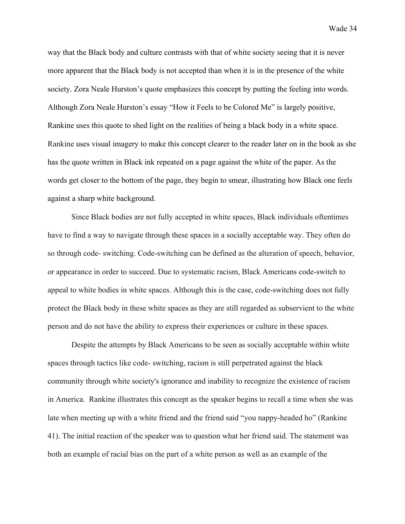way that the Black body and culture contrasts with that of white society seeing that it is never more apparent that the Black body is not accepted than when it is in the presence of the white society. Zora Neale Hurston's quote emphasizes this concept by putting the feeling into words. Although Zora Neale Hurston's essay "How it Feels to be Colored Me" is largely positive, Rankine uses this quote to shed light on the realities of being a black body in a white space. Rankine uses visual imagery to make this concept clearer to the reader later on in the book as she has the quote written in Black ink repeated on a page against the white of the paper. As the words get closer to the bottom of the page, they begin to smear, illustrating how Black one feels against a sharp white background.

Since Black bodies are not fully accepted in white spaces, Black individuals oftentimes have to find a way to navigate through these spaces in a socially acceptable way. They often do so through code- switching. Code-switching can be defined as the alteration of speech, behavior, or appearance in order to succeed. Due to systematic racism, Black Americans code-switch to appeal to white bodies in white spaces. Although this is the case, code-switching does not fully protect the Black body in these white spaces as they are still regarded as subservient to the white person and do not have the ability to express their experiences or culture in these spaces.

Despite the attempts by Black Americans to be seen as socially acceptable within white spaces through tactics like code- switching, racism is still perpetrated against the black community through white society's ignorance and inability to recognize the existence of racism in America. Rankine illustrates this concept as the speaker begins to recall a time when she was late when meeting up with a white friend and the friend said "you nappy-headed ho" (Rankine 41). The initial reaction of the speaker was to question what her friend said. The statement was both an example of racial bias on the part of a white person as well as an example of the

Wade 34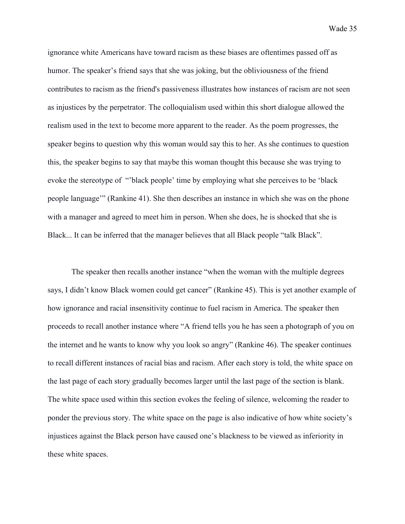ignorance white Americans have toward racism as these biases are oftentimes passed off as humor. The speaker's friend says that she was joking, but the obliviousness of the friend contributes to racism as the friend's passiveness illustrates how instances of racism are not seen as injustices by the perpetrator. The colloquialism used within this short dialogue allowed the realism used in the text to become more apparent to the reader. As the poem progresses, the speaker begins to question why this woman would say this to her. As she continues to question this, the speaker begins to say that maybe this woman thought this because she was trying to evoke the stereotype of "'black people' time by employing what she perceives to be 'black people language'" (Rankine 41). She then describes an instance in which she was on the phone with a manager and agreed to meet him in person. When she does, he is shocked that she is Black... It can be inferred that the manager believes that all Black people "talk Black".

The speaker then recalls another instance "when the woman with the multiple degrees says, I didn't know Black women could get cancer" (Rankine 45). This is yet another example of how ignorance and racial insensitivity continue to fuel racism in America. The speaker then proceeds to recall another instance where "A friend tells you he has seen a photograph of you on the internet and he wants to know why you look so angry" (Rankine 46). The speaker continues to recall different instances of racial bias and racism. After each story is told, the white space on the last page of each story gradually becomes larger until the last page of the section is blank. The white space used within this section evokes the feeling of silence, welcoming the reader to ponder the previous story. The white space on the page is also indicative of how white society's injustices against the Black person have caused one's blackness to be viewed as inferiority in these white spaces.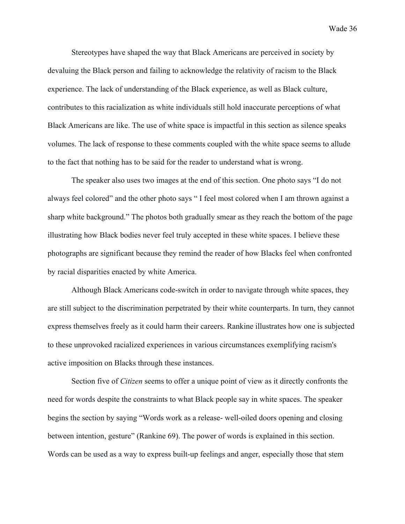Stereotypes have shaped the way that Black Americans are perceived in society by devaluing the Black person and failing to acknowledge the relativity of racism to the Black experience. The lack of understanding of the Black experience, as well as Black culture, contributes to this racialization as white individuals still hold inaccurate perceptions of what Black Americans are like. The use of white space is impactful in this section as silence speaks volumes. The lack of response to these comments coupled with the white space seems to allude to the fact that nothing has to be said for the reader to understand what is wrong.

The speaker also uses two images at the end of this section. One photo says "I do not always feel colored" and the other photo says " I feel most colored when I am thrown against a sharp white background." The photos both gradually smear as they reach the bottom of the page illustrating how Black bodies never feel truly accepted in these white spaces. I believe these photographs are significant because they remind the reader of how Blacks feel when confronted by racial disparities enacted by white America.

Although Black Americans code-switch in order to navigate through white spaces, they are still subject to the discrimination perpetrated by their white counterparts. In turn, they cannot express themselves freely as it could harm their careers. Rankine illustrates how one is subjected to these unprovoked racialized experiences in various circumstances exemplifying racism's active imposition on Blacks through these instances.

Section five of *Citizen* seems to offer a unique point of view as it directly confronts the need for words despite the constraints to what Black people say in white spaces. The speaker begins the section by saying "Words work as a release- well-oiled doors opening and closing between intention, gesture" (Rankine 69). The power of words is explained in this section. Words can be used as a way to express built-up feelings and anger, especially those that stem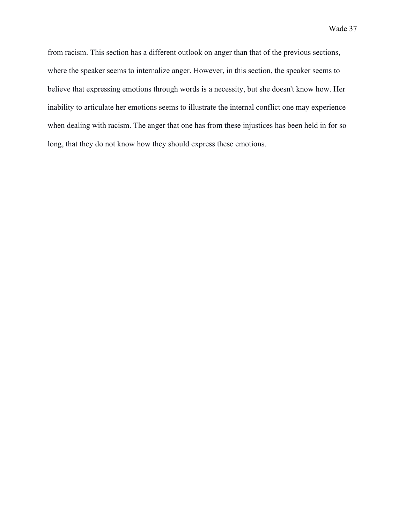from racism. This section has a different outlook on anger than that of the previous sections, where the speaker seems to internalize anger. However, in this section, the speaker seems to believe that expressing emotions through words is a necessity, but she doesn't know how. Her inability to articulate her emotions seems to illustrate the internal conflict one may experience when dealing with racism. The anger that one has from these injustices has been held in for so long, that they do not know how they should express these emotions.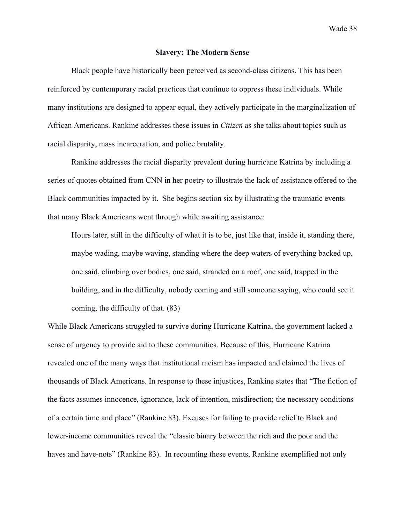### **Slavery: The Modern Sense**

Black people have historically been perceived as second-class citizens. This has been reinforced by contemporary racial practices that continue to oppress these individuals. While many institutions are designed to appear equal, they actively participate in the marginalization of African Americans. Rankine addresses these issues in *Citizen* as she talks about topics such as racial disparity, mass incarceration, and police brutality.

Rankine addresses the racial disparity prevalent during hurricane Katrina by including a series of quotes obtained from CNN in her poetry to illustrate the lack of assistance offered to the Black communities impacted by it. She begins section six by illustrating the traumatic events that many Black Americans went through while awaiting assistance:

Hours later, still in the difficulty of what it is to be, just like that, inside it, standing there, maybe wading, maybe waving, standing where the deep waters of everything backed up, one said, climbing over bodies, one said, stranded on a roof, one said, trapped in the building, and in the difficulty, nobody coming and still someone saying, who could see it coming, the difficulty of that. (83)

While Black Americans struggled to survive during Hurricane Katrina, the government lacked a sense of urgency to provide aid to these communities. Because of this, Hurricane Katrina revealed one of the many ways that institutional racism has impacted and claimed the lives of thousands of Black Americans. In response to these injustices, Rankine states that "The fiction of the facts assumes innocence, ignorance, lack of intention, misdirection; the necessary conditions of a certain time and place" (Rankine 83). Excuses for failing to provide relief to Black and lower-income communities reveal the "classic binary between the rich and the poor and the haves and have-nots" (Rankine 83). In recounting these events, Rankine exemplified not only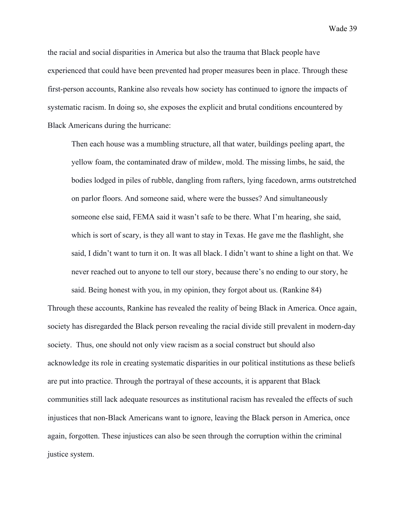the racial and social disparities in America but also the trauma that Black people have experienced that could have been prevented had proper measures been in place. Through these first-person accounts, Rankine also reveals how society has continued to ignore the impacts of systematic racism. In doing so, she exposes the explicit and brutal conditions encountered by Black Americans during the hurricane:

Then each house was a mumbling structure, all that water, buildings peeling apart, the yellow foam, the contaminated draw of mildew, mold. The missing limbs, he said, the bodies lodged in piles of rubble, dangling from rafters, lying facedown, arms outstretched on parlor floors. And someone said, where were the busses? And simultaneously someone else said, FEMA said it wasn't safe to be there. What I'm hearing, she said, which is sort of scary, is they all want to stay in Texas. He gave me the flashlight, she said, I didn't want to turn it on. It was all black. I didn't want to shine a light on that. We never reached out to anyone to tell our story, because there's no ending to our story, he said. Being honest with you, in my opinion, they forgot about us. (Rankine 84)

Through these accounts, Rankine has revealed the reality of being Black in America. Once again, society has disregarded the Black person revealing the racial divide still prevalent in modern-day society. Thus, one should not only view racism as a social construct but should also acknowledge its role in creating systematic disparities in our political institutions as these beliefs are put into practice. Through the portrayal of these accounts, it is apparent that Black communities still lack adequate resources as institutional racism has revealed the effects of such injustices that non-Black Americans want to ignore, leaving the Black person in America, once again, forgotten. These injustices can also be seen through the corruption within the criminal justice system.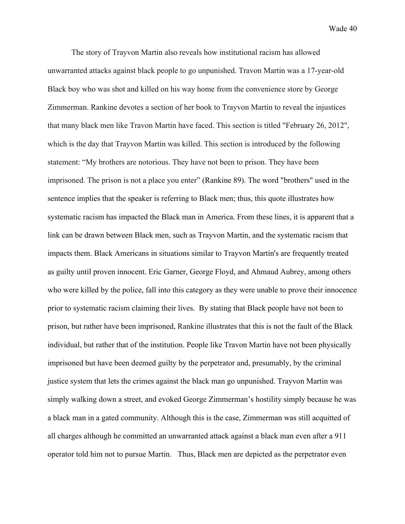The story of Trayvon Martin also reveals how institutional racism has allowed unwarranted attacks against black people to go unpunished. Travon Martin was a 17-year-old Black boy who was shot and killed on his way home from the convenience store by George Zimmerman. Rankine devotes a section of her book to Trayvon Martin to reveal the injustices that many black men like Travon Martin have faced. This section is titled "February 26, 2012", which is the day that Trayvon Martin was killed. This section is introduced by the following statement: "My brothers are notorious. They have not been to prison. They have been imprisoned. The prison is not a place you enter" (Rankine 89). The word "brothers" used in the sentence implies that the speaker is referring to Black men; thus, this quote illustrates how systematic racism has impacted the Black man in America. From these lines, it is apparent that a link can be drawn between Black men, such as Trayvon Martin, and the systematic racism that impacts them. Black Americans in situations similar to Trayvon Martin's are frequently treated as guilty until proven innocent. Eric Garner, George Floyd, and Ahmaud Aubrey, among others who were killed by the police, fall into this category as they were unable to prove their innocence prior to systematic racism claiming their lives. By stating that Black people have not been to prison, but rather have been imprisoned, Rankine illustrates that this is not the fault of the Black individual, but rather that of the institution. People like Travon Martin have not been physically imprisoned but have been deemed guilty by the perpetrator and, presumably, by the criminal justice system that lets the crimes against the black man go unpunished. Trayvon Martin was simply walking down a street, and evoked George Zimmerman's hostility simply because he was a black man in a gated community. Although this is the case, Zimmerman was still acquitted of all charges although he committed an unwarranted attack against a black man even after a 911 operator told him not to pursue Martin. Thus, Black men are depicted as the perpetrator even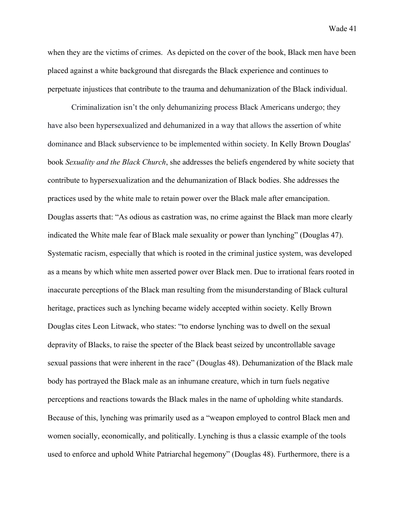when they are the victims of crimes. As depicted on the cover of the book, Black men have been placed against a white background that disregards the Black experience and continues to perpetuate injustices that contribute to the trauma and dehumanization of the Black individual.

Criminalization isn't the only dehumanizing process Black Americans undergo; they have also been hypersexualized and dehumanized in a way that allows the assertion of white dominance and Black subservience to be implemented within society. In Kelly Brown Douglas' book *Sexuality and the Black Church*, she addresses the beliefs engendered by white society that contribute to hypersexualization and the dehumanization of Black bodies. She addresses the practices used by the white male to retain power over the Black male after emancipation. Douglas asserts that: "As odious as castration was, no crime against the Black man more clearly indicated the White male fear of Black male sexuality or power than lynching" (Douglas 47). Systematic racism, especially that which is rooted in the criminal justice system, was developed as a means by which white men asserted power over Black men. Due to irrational fears rooted in inaccurate perceptions of the Black man resulting from the misunderstanding of Black cultural heritage, practices such as lynching became widely accepted within society. Kelly Brown Douglas cites Leon Litwack, who states: "to endorse lynching was to dwell on the sexual depravity of Blacks, to raise the specter of the Black beast seized by uncontrollable savage sexual passions that were inherent in the race" (Douglas 48). Dehumanization of the Black male body has portrayed the Black male as an inhumane creature, which in turn fuels negative perceptions and reactions towards the Black males in the name of upholding white standards. Because of this, lynching was primarily used as a "weapon employed to control Black men and women socially, economically, and politically. Lynching is thus a classic example of the tools used to enforce and uphold White Patriarchal hegemony" (Douglas 48). Furthermore, there is a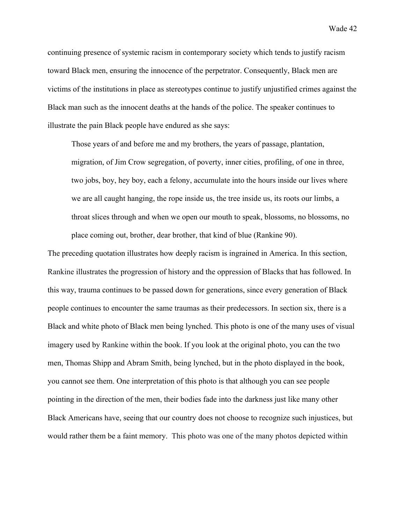continuing presence of systemic racism in contemporary society which tends to justify racism toward Black men, ensuring the innocence of the perpetrator. Consequently, Black men are victims of the institutions in place as stereotypes continue to justify unjustified crimes against the Black man such as the innocent deaths at the hands of the police. The speaker continues to illustrate the pain Black people have endured as she says:

Those years of and before me and my brothers, the years of passage, plantation, migration, of Jim Crow segregation, of poverty, inner cities, profiling, of one in three, two jobs, boy, hey boy, each a felony, accumulate into the hours inside our lives where we are all caught hanging, the rope inside us, the tree inside us, its roots our limbs, a throat slices through and when we open our mouth to speak, blossoms, no blossoms, no place coming out, brother, dear brother, that kind of blue (Rankine 90).

The preceding quotation illustrates how deeply racism is ingrained in America. In this section, Rankine illustrates the progression of history and the oppression of Blacks that has followed. In this way, trauma continues to be passed down for generations, since every generation of Black people continues to encounter the same traumas as their predecessors. In section six, there is a Black and white photo of Black men being lynched. This photo is one of the many uses of visual imagery used by Rankine within the book. If you look at the original photo, you can the two men, Thomas Shipp and Abram Smith, being lynched, but in the photo displayed in the book, you cannot see them. One interpretation of this photo is that although you can see people pointing in the direction of the men, their bodies fade into the darkness just like many other Black Americans have, seeing that our country does not choose to recognize such injustices, but would rather them be a faint memory. This photo was one of the many photos depicted within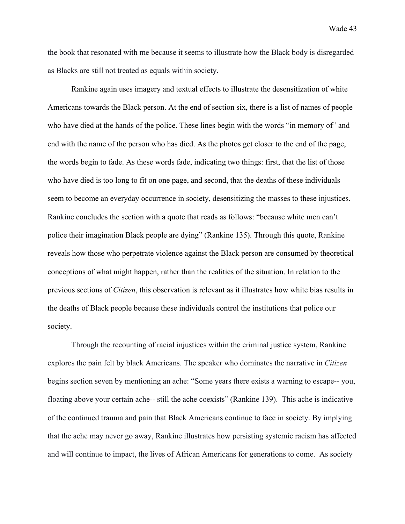the book that resonated with me because it seems to illustrate how the Black body is disregarded as Blacks are still not treated as equals within society.

Rankine again uses imagery and textual effects to illustrate the desensitization of white Americans towards the Black person. At the end of section six, there is a list of names of people who have died at the hands of the police. These lines begin with the words "in memory of" and end with the name of the person who has died. As the photos get closer to the end of the page, the words begin to fade. As these words fade, indicating two things: first, that the list of those who have died is too long to fit on one page, and second, that the deaths of these individuals seem to become an everyday occurrence in society, desensitizing the masses to these injustices. Rankine concludes the section with a quote that reads as follows: "because white men can't police their imagination Black people are dying" (Rankine 135). Through this quote, Rankine reveals how those who perpetrate violence against the Black person are consumed by theoretical conceptions of what might happen, rather than the realities of the situation. In relation to the previous sections of *Citizen*, this observation is relevant as it illustrates how white bias results in the deaths of Black people because these individuals control the institutions that police our society.

Through the recounting of racial injustices within the criminal justice system, Rankine explores the pain felt by black Americans. The speaker who dominates the narrative in *Citizen* begins section seven by mentioning an ache: "Some years there exists a warning to escape-- you, floating above your certain ache-- still the ache coexists" (Rankine 139). This ache is indicative of the continued trauma and pain that Black Americans continue to face in society. By implying that the ache may never go away, Rankine illustrates how persisting systemic racism has affected and will continue to impact, the lives of African Americans for generations to come. As society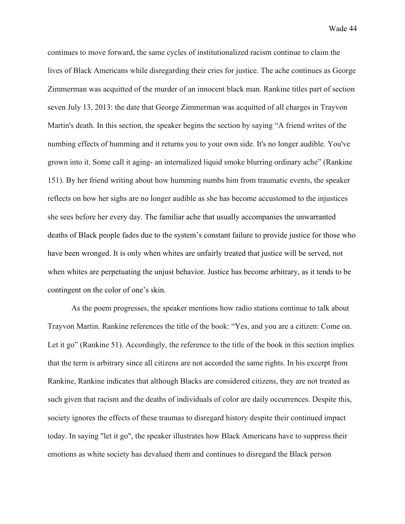continues to move forward, the same cycles of institutionalized racism continue to claim the lives of Black Americans while disregarding their cries for justice. The ache continues as George Zimmerman was acquitted of the murder of an innocent black man. Rankine titles part of section seven July 13, 2013: the date that George Zimmerman was acquitted of all charges in Trayvon Martin's death. In this section, the speaker begins the section by saying "A friend writes of the numbing effects of humming and it returns you to your own side. It's no longer audible. You've grown into it. Some call it aging- an internalized liquid smoke blurring ordinary ache" (Rankine 151). By her friend writing about how humming numbs him from traumatic events, the speaker reflects on how her sighs are no longer audible as she has become accustomed to the injustices she sees before her every day. The familiar ache that usually accompanies the unwarranted deaths of Black people fades due to the system's constant failure to provide justice for those who have been wronged. It is only when whites are unfairly treated that justice will be served, not when whites are perpetuating the unjust behavior. Justice has become arbitrary, as it tends to be contingent on the color of one's skin.

As the poem progresses, the speaker mentions how radio stations continue to talk about Trayvon Martin. Rankine references the title of the book: "Yes, and you are a citizen: Come on. Let it go" (Rankine 51). Accordingly, the reference to the title of the book in this section implies that the term is arbitrary since all citizens are not accorded the same rights. In his excerpt from Rankine, Rankine indicates that although Blacks are considered citizens, they are not treated as such given that racism and the deaths of individuals of color are daily occurrences. Despite this, society ignores the effects of these traumas to disregard history despite their continued impact today. In saying "let it go", the speaker illustrates how Black Americans have to suppress their emotions as white society has devalued them and continues to disregard the Black person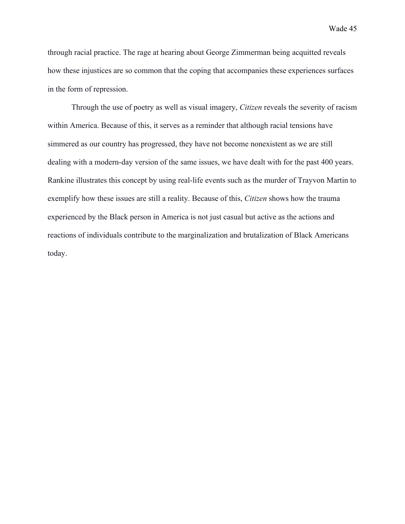through racial practice. The rage at hearing about George Zimmerman being acquitted reveals how these injustices are so common that the coping that accompanies these experiences surfaces in the form of repression.

Through the use of poetry as well as visual imagery, *Citizen* reveals the severity of racism within America. Because of this, it serves as a reminder that although racial tensions have simmered as our country has progressed, they have not become nonexistent as we are still dealing with a modern-day version of the same issues, we have dealt with for the past 400 years. Rankine illustrates this concept by using real-life events such as the murder of Trayvon Martin to exemplify how these issues are still a reality. Because of this, *Citizen* shows how the trauma experienced by the Black person in America is not just casual but active as the actions and reactions of individuals contribute to the marginalization and brutalization of Black Americans today.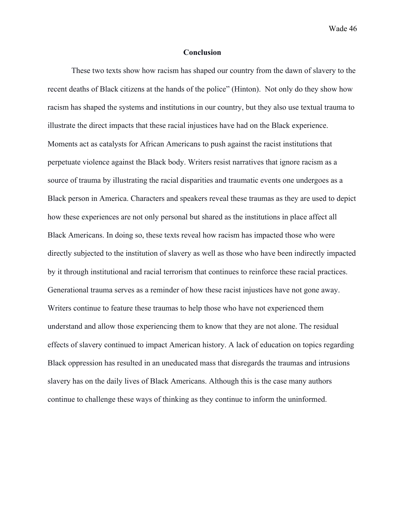## **Conclusion**

These two texts show how racism has shaped our country from the dawn of slavery to the recent deaths of Black citizens at the hands of the police" (Hinton). Not only do they show how racism has shaped the systems and institutions in our country, but they also use textual trauma to illustrate the direct impacts that these racial injustices have had on the Black experience. Moments act as catalysts for African Americans to push against the racist institutions that perpetuate violence against the Black body. Writers resist narratives that ignore racism as a source of trauma by illustrating the racial disparities and traumatic events one undergoes as a Black person in America. Characters and speakers reveal these traumas as they are used to depict how these experiences are not only personal but shared as the institutions in place affect all Black Americans. In doing so, these texts reveal how racism has impacted those who were directly subjected to the institution of slavery as well as those who have been indirectly impacted by it through institutional and racial terrorism that continues to reinforce these racial practices. Generational trauma serves as a reminder of how these racist injustices have not gone away. Writers continue to feature these traumas to help those who have not experienced them understand and allow those experiencing them to know that they are not alone. The residual effects of slavery continued to impact American history. A lack of education on topics regarding Black oppression has resulted in an uneducated mass that disregards the traumas and intrusions slavery has on the daily lives of Black Americans. Although this is the case many authors continue to challenge these ways of thinking as they continue to inform the uninformed.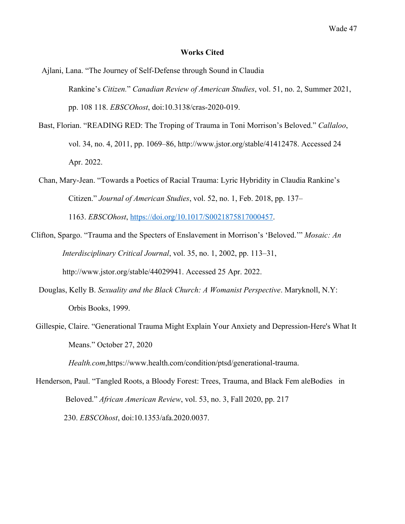### **Works Cited**

Ajlani, Lana. "The Journey of Self-Defense through Sound in Claudia Rankine's *Citizen.*" *Canadian Review of American Studies*, vol. 51, no. 2, Summer 2021, pp. 108 118. *EBSCOhost*, doi:10.3138/cras-2020-019.

- Bast, Florian. "READING RED: The Troping of Trauma in Toni Morrison's Beloved." *Callaloo*, vol. 34, no. 4, 2011, pp. 1069–86, http://www.jstor.org/stable/41412478. Accessed 24 Apr. 2022.
- Chan, Mary-Jean. "Towards a Poetics of Racial Trauma: Lyric Hybridity in Claudia Rankine's Citizen." *Journal of American Studies*, vol. 52, no. 1, Feb. 2018, pp. 137–

1163. *EBSCOhost*, https://doi.org/10.1017/S0021875817000457.

- Clifton, Spargo. "Trauma and the Specters of Enslavement in Morrison's 'Beloved.'" *Mosaic: An Interdisciplinary Critical Journal*, vol. 35, no. 1, 2002, pp. 113–31, http://www.jstor.org/stable/44029941. Accessed 25 Apr. 2022.
	- Douglas, Kelly B. *Sexuality and the Black Church: A Womanist Perspective*. Maryknoll, N.Y: Orbis Books, 1999.
	- Gillespie, Claire. "Generational Trauma Might Explain Your Anxiety and Depression-Here's What It Means." October 27, 2020

*Health.com*,https://www.health.com/condition/ptsd/generational-trauma.

Henderson, Paul. "Tangled Roots, a Bloody Forest: Trees, Trauma, and Black Fem aleBodies in Beloved." *African American Review*, vol. 53, no. 3, Fall 2020, pp. 217 230. *EBSCOhost*, doi:10.1353/afa.2020.0037.